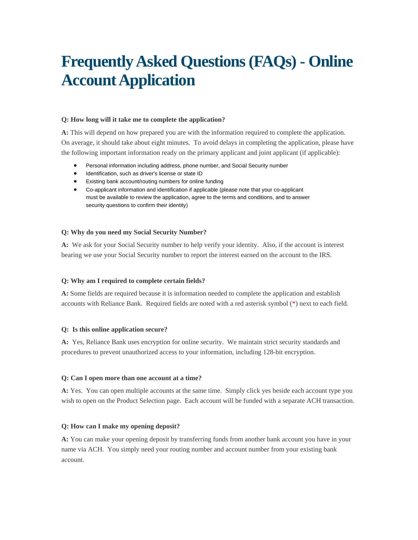# **Frequently Asked Questions (FAQs) - Online Account Application**

# **Q: How long will it take me to complete the application?**

**A:** This will depend on how prepared you are with the information required to complete the application. On average, it should take about eight minutes. To avoid delays in completing the application, please have the following important information ready on the primary applicant and joint applicant (if applicable):

- Personal information including address, phone number, and Social Security number
- $\bullet$  Identification, such as driver's license or state ID
- Existing bank account/routing numbers for online funding
- Co-applicant information and identification if applicable (please note that your co-applicant must be available to review the application, agree to the terms and conditions, and to answer security questions to confirm their identity)

#### **Q: Why do you need my Social Security Number?**

**A:** We ask for your Social Security number to help verify your identity. Also, if the account is interest bearing we use your Social Security number to report the interest earned on the account to the IRS.

# **Q: Why am I required to complete certain fields?**

**A:** Some fields are required because it is information needed to complete the application and establish accounts with Reliance Bank. Required fields are noted with a red asterisk symbol (\*) next to each field.

#### **Q: Is this online application secure?**

**A:** Yes, Reliance Bank uses encryption for online security. We maintain strict security standards and procedures to prevent unauthorized access to your information, including 128-bit encryption.

#### **Q: Can I open more than one account at a time?**

**A:** Yes. You can open multiple accounts at the same time. Simply click yes beside each account type you wish to open on the Product Selection page. Each account will be funded with a separate ACH transaction.

# **Q: How can I make my opening deposit?**

**A:** You can make your opening deposit by transferring funds from another bank account you have in your name via ACH. You simply need your routing number and account number from your existing bank account.